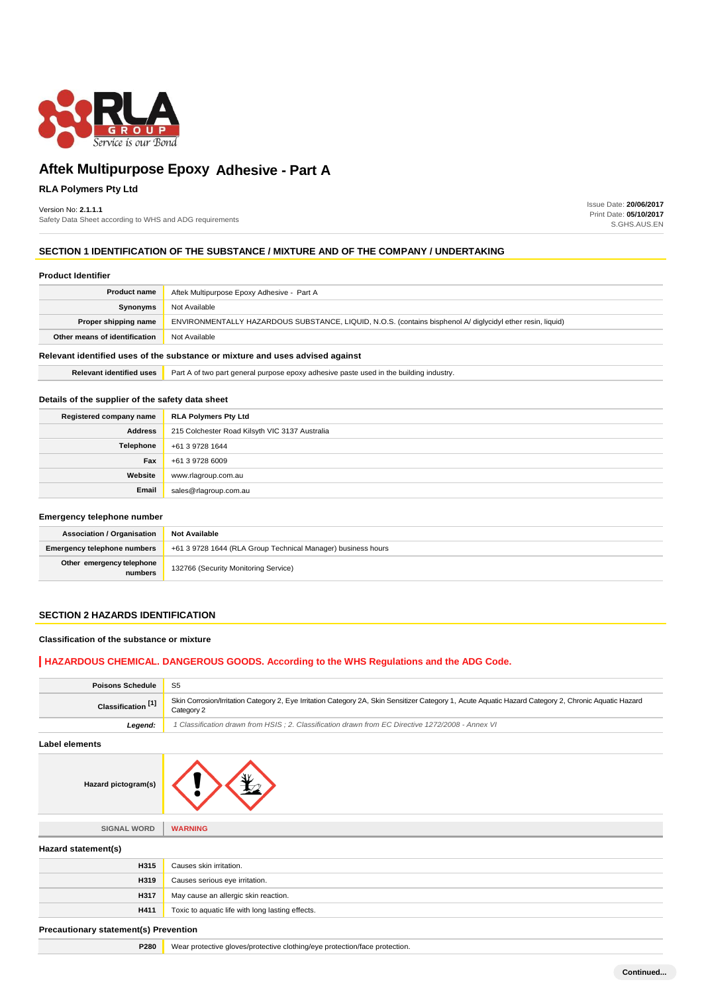

### **RLA Polymers Pty Ltd**

#### Version No: **2.1.1.1**

Safety Data Sheet according to WHS and ADG requirements

Issue Date: **20/06/2017** Print Date: **05/10/2017** S.GHS.AUS.EN

### **SECTION 1 IDENTIFICATION OF THE SUBSTANCE / MIXTURE AND OF THE COMPANY / UNDERTAKING**

| <b>Product Identifier</b>                                                     |                                                                                                            |  |
|-------------------------------------------------------------------------------|------------------------------------------------------------------------------------------------------------|--|
| <b>Product name</b>                                                           | Aftek Multipurpose Epoxy Adhesive - Part A                                                                 |  |
| Synonyms                                                                      | Not Available                                                                                              |  |
| Proper shipping name                                                          | ENVIRONMENTALLY HAZARDOUS SUBSTANCE, LIQUID, N.O.S. (contains bisphenol A/ diglycidyl ether resin, liquid) |  |
| Other means of identification                                                 | Not Available                                                                                              |  |
| Relevant identified uses of the substance or mixture and uses advised against |                                                                                                            |  |

**Relevant identified uses Part A of two part general purpose epoxy adhesive paste used in the building industry.** 

#### **Details of the supplier of the safety data sheet**

| Registered company name | <b>RLA Polymers Pty Ltd</b>                    |  |
|-------------------------|------------------------------------------------|--|
| <b>Address</b>          | 215 Colchester Road Kilsyth VIC 3137 Australia |  |
| Telephone               | +61 3 9728 1644                                |  |
| Fax                     | +61 3 9728 6009                                |  |
| Website                 | www.rlagroup.com.au                            |  |
| Email                   | sales@rlagroup.com.au                          |  |

#### **Emergency telephone number**

| <b>Association / Organisation</b>    | <b>Not Available</b>                                         |  |
|--------------------------------------|--------------------------------------------------------------|--|
| <b>Emergency telephone numbers</b>   | +61 3 9728 1644 (RLA Group Technical Manager) business hours |  |
| Other emergency telephone<br>numbers | 132766 (Security Monitoring Service)                         |  |

### **SECTION 2 HAZARDS IDENTIFICATION**

#### **Classification of the substance or mixture**

### **HAZARDOUS CHEMICAL. DANGEROUS GOODS. According to the WHS Regulations and the ADG Code.**

| <b>Poisons Schedule</b>       | - S5                                                                                                                                                                |  |
|-------------------------------|---------------------------------------------------------------------------------------------------------------------------------------------------------------------|--|
| Classification <sup>[1]</sup> | Skin Corrosion/Irritation Category 2, Eye Irritation Category 2A, Skin Sensitizer Category 1, Acute Aquatic Hazard Category 2, Chronic Aquatic Hazard<br>Category 2 |  |
| Leaend:                       | 1 Classification drawn from HSIS; 2. Classification drawn from EC Directive 1272/2008 - Annex VI                                                                    |  |

#### **Label elements**



| <b>SIGNAL WORD</b>  | <b>WARNING</b>                                   |
|---------------------|--------------------------------------------------|
| Hazard statement(s) |                                                  |
| <b>H315</b>         | Causes skin irritation.                          |
| <b>H319</b>         | Causes serious eye irritation.                   |
| <b>H317</b>         | May cause an allergic skin reaction.             |
| H411                | Toxic to aquatic life with long lasting effects. |

#### **Precautionary statement(s) Prevention**

**P280** Wear protective gloves/protective clothing/eye protection/face protection.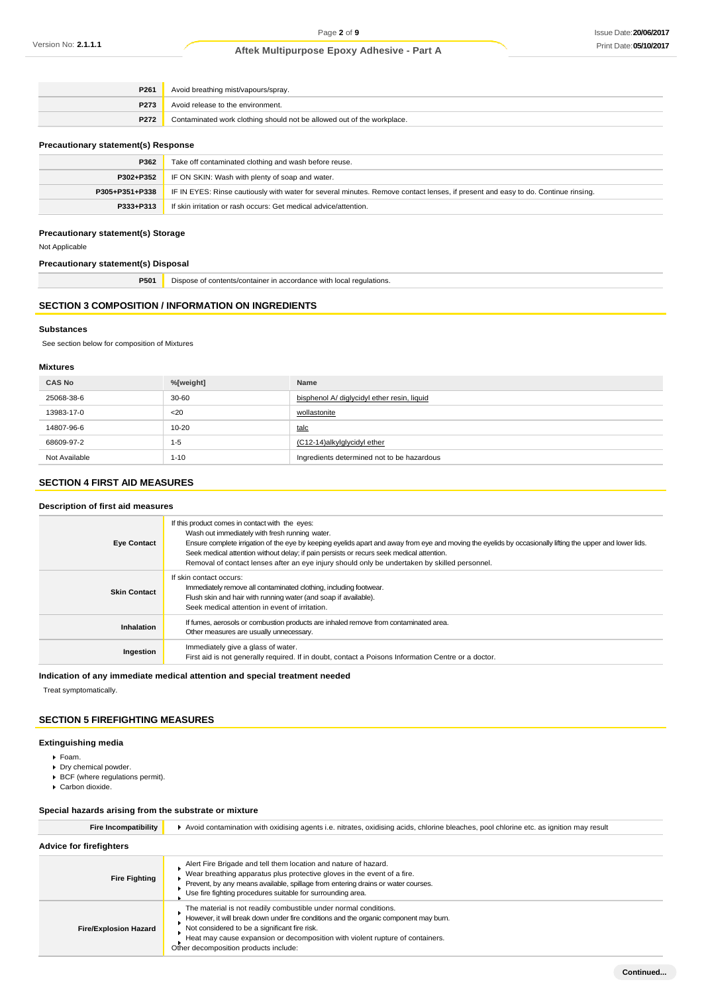| P261 | Avoid breathing mist/vapours/spray.                                    |  |
|------|------------------------------------------------------------------------|--|
| P273 | Avoid release to the environment.                                      |  |
| P272 | Contaminated work clothing should not be allowed out of the workplace. |  |
|      |                                                                        |  |

#### **Precautionary statement(s) Response**

| P362           | Take off contaminated clothing and wash before reuse.                                                                            |  |
|----------------|----------------------------------------------------------------------------------------------------------------------------------|--|
| P302+P352      | IF ON SKIN: Wash with plenty of soap and water.                                                                                  |  |
| P305+P351+P338 | IF IN EYES: Rinse cautiously with water for several minutes. Remove contact lenses, if present and easy to do. Continue rinsing. |  |
| P333+P313      | If skin irritation or rash occurs: Get medical advice/attention.                                                                 |  |

### **Precautionary statement(s) Storage**

Not Applicable

**Precautionary statement(s) Disposal**

| P501 | Dispose of contents/container in accordance with local regulations.<br>. |
|------|--------------------------------------------------------------------------|
|      |                                                                          |

### **SECTION 3 COMPOSITION / INFORMATION ON INGREDIENTS**

#### **Substances**

See section below for composition of Mixtures

### **Mixtures**

| <b>CAS No</b> | %[weight] | Name                                        |
|---------------|-----------|---------------------------------------------|
| 25068-38-6    | $30 - 60$ | bisphenol A/ diglycidyl ether resin, liquid |
| 13983-17-0    | $20$      | wollastonite                                |
| 14807-96-6    | $10 - 20$ | talc                                        |
| 68609-97-2    | $1 - 5$   | (C12-14)alkylglycidyl ether                 |
| Not Available | $1 - 10$  | Ingredients determined not to be hazardous  |

### **SECTION 4 FIRST AID MEASURES**

#### **Description of first aid measures**

| <b>Eye Contact</b>  | If this product comes in contact with the eyes:<br>Wash out immediately with fresh running water.<br>Ensure complete irrigation of the eye by keeping eyelids apart and away from eye and moving the eyelids by occasionally lifting the upper and lower lids.<br>Seek medical attention without delay; if pain persists or recurs seek medical attention.<br>Removal of contact lenses after an eye injury should only be undertaken by skilled personnel. |  |
|---------------------|-------------------------------------------------------------------------------------------------------------------------------------------------------------------------------------------------------------------------------------------------------------------------------------------------------------------------------------------------------------------------------------------------------------------------------------------------------------|--|
| <b>Skin Contact</b> | If skin contact occurs:<br>Immediately remove all contaminated clothing, including footwear.<br>Flush skin and hair with running water (and soap if available).<br>Seek medical attention in event of irritation.                                                                                                                                                                                                                                           |  |
| Inhalation          | If fumes, aerosols or combustion products are inhaled remove from contaminated area.<br>Other measures are usually unnecessary.                                                                                                                                                                                                                                                                                                                             |  |
| Ingestion           | Immediately give a glass of water.<br>First aid is not generally required. If in doubt, contact a Poisons Information Centre or a doctor.                                                                                                                                                                                                                                                                                                                   |  |

#### **Indication of any immediate medical attention and special treatment needed**

Treat symptomatically.

### **SECTION 5 FIREFIGHTING MEASURES**

### **Extinguishing media**

- Foam.
- **Dry chemical powder.**
- BCF (where regulations permit).
- Carbon dioxide.

# **Special hazards arising from the substrate or mixture**

| <b>Fire Incompatibility</b>    | Avoid contamination with oxidising agents i.e. nitrates, oxidising acids, chlorine bleaches, pool chlorine etc. as ignition may result                                                                                                                                                                                               |  |  |
|--------------------------------|--------------------------------------------------------------------------------------------------------------------------------------------------------------------------------------------------------------------------------------------------------------------------------------------------------------------------------------|--|--|
| <b>Advice for firefighters</b> |                                                                                                                                                                                                                                                                                                                                      |  |  |
| <b>Fire Fighting</b>           | Alert Fire Brigade and tell them location and nature of hazard.<br>Wear breathing apparatus plus protective gloves in the event of a fire.<br>Prevent, by any means available, spillage from entering drains or water courses.<br>Use fire fighting procedures suitable for surrounding area.                                        |  |  |
| <b>Fire/Explosion Hazard</b>   | The material is not readily combustible under normal conditions.<br>However, it will break down under fire conditions and the organic component may burn.<br>Not considered to be a significant fire risk.<br>Heat may cause expansion or decomposition with violent rupture of containers.<br>Other decomposition products include: |  |  |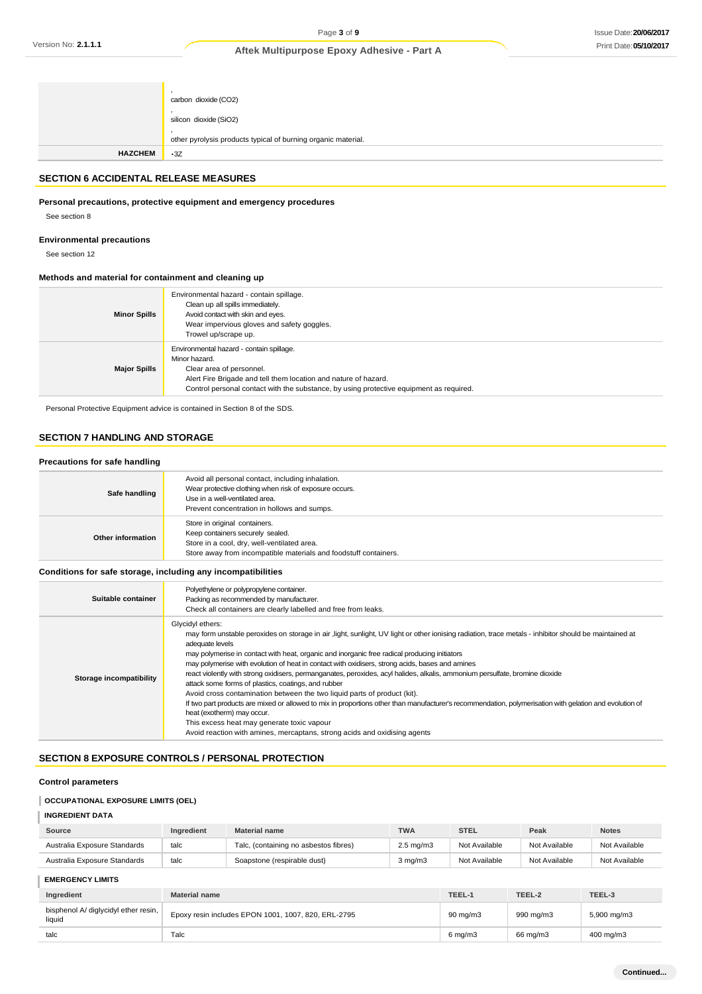|                | carbon dioxide (CO2)<br>silicon dioxide (SiO2)<br>other pyrolysis products typical of burning organic material. |
|----------------|-----------------------------------------------------------------------------------------------------------------|
| <b>HAZCHEM</b> | $\cdot$ 3Z                                                                                                      |

### **SECTION 6 ACCIDENTAL RELEASE MEASURES**

#### **Personal precautions, protective equipment and emergency procedures**

See section 8

#### **Environmental precautions**

See section 12

### **Methods and material for containment and cleaning up**

| <b>Minor Spills</b> | Environmental hazard - contain spillage.<br>Clean up all spills immediately.<br>Avoid contact with skin and eyes.<br>Wear impervious gloves and safety goggles.<br>Trowel up/scrape up.                                                             |
|---------------------|-----------------------------------------------------------------------------------------------------------------------------------------------------------------------------------------------------------------------------------------------------|
| <b>Major Spills</b> | Environmental hazard - contain spillage.<br>Minor hazard.<br>Clear area of personnel.<br>Alert Fire Brigade and tell them location and nature of hazard.<br>Control personal contact with the substance, by using protective equipment as required. |

Personal Protective Equipment advice is contained in Section 8 of the SDS.

# **SECTION 7 HANDLING AND STORAGE**

### **Precautions for safe handling**

| Safe handling     | Avoid all personal contact, including inhalation.<br>Wear protective clothing when risk of exposure occurs.<br>Use in a well-ventilated area.<br>Prevent concentration in hollows and sumps. |  |
|-------------------|----------------------------------------------------------------------------------------------------------------------------------------------------------------------------------------------|--|
| Other information | Store in original containers.<br>Keep containers securely sealed.<br>Store in a cool, dry, well-ventilated area.<br>Store away from incompatible materials and foodstuff containers.         |  |

#### **Conditions for safe storage, including any incompatibilities**

| Suitable container      | Polyethylene or polypropylene container.<br>Packing as recommended by manufacturer.<br>Check all containers are clearly labelled and free from leaks.                                                                                                                                                                                                                                                                                                                                                                                                                                                                                                                                                                                                                                                                                                                                                                                                                                  |
|-------------------------|----------------------------------------------------------------------------------------------------------------------------------------------------------------------------------------------------------------------------------------------------------------------------------------------------------------------------------------------------------------------------------------------------------------------------------------------------------------------------------------------------------------------------------------------------------------------------------------------------------------------------------------------------------------------------------------------------------------------------------------------------------------------------------------------------------------------------------------------------------------------------------------------------------------------------------------------------------------------------------------|
| Storage incompatibility | Glycidyl ethers:<br>may form unstable peroxides on storage in air light, sunlight, UV light or other ionising radiation, trace metals - inhibitor should be maintained at<br>adequate levels<br>may polymerise in contact with heat, organic and inorganic free radical producing initiators<br>may polymerise with evolution of heat in contact with oxidisers, strong acids, bases and amines<br>react violently with strong oxidisers, permanganates, peroxides, acyl halides, alkalis, ammonium persulfate, bromine dioxide<br>attack some forms of plastics, coatings, and rubber<br>Avoid cross contamination between the two liquid parts of product (kit).<br>If two part products are mixed or allowed to mix in proportions other than manufacturer's recommendation, polymerisation with gelation and evolution of<br>heat (exotherm) may occur.<br>This excess heat may generate toxic vapour<br>Avoid reaction with amines, mercaptans, strong acids and oxidising agents |

# **SECTION 8 EXPOSURE CONTROLS / PERSONAL PROTECTION**

#### **Control parameters**

#### **OCCUPATIONAL EXPOSURE LIMITS (OEL)**

#### **INGREDIENT DATA**

| Source                       | Ingredient | <b>Material name</b>                  | <b>TWA</b>           | <b>STEL</b>   | Peak          | <b>Notes</b>  |
|------------------------------|------------|---------------------------------------|----------------------|---------------|---------------|---------------|
| Australia Exposure Standards | talc       | Talc, (containing no asbestos fibres) | $2.5 \text{ mg/m}$ 3 | Not Available | Not Available | Not Available |
| Australia Exposure Standards | talc       | Soapstone (respirable dust)           | $3$ mg/m $3$         | Not Available | Not Available | Not Available |

**EMERGENCY LIMITS**

| Ingredient                                     | <b>Material name</b>                                | TEEL-1             | TEEL-2    | TEEL-3      |
|------------------------------------------------|-----------------------------------------------------|--------------------|-----------|-------------|
| bisphenol A/ diglycidyl ether resin,<br>liauid | Epoxy resin includes EPON 1001, 1007, 820, ERL-2795 | $90 \text{ mg/m}$  | 990 mg/m3 | 5,900 mg/m3 |
| talc                                           | Talc                                                | $6 \text{ mg/m}$ 3 | 66 mg/m3  | 400 mg/m3   |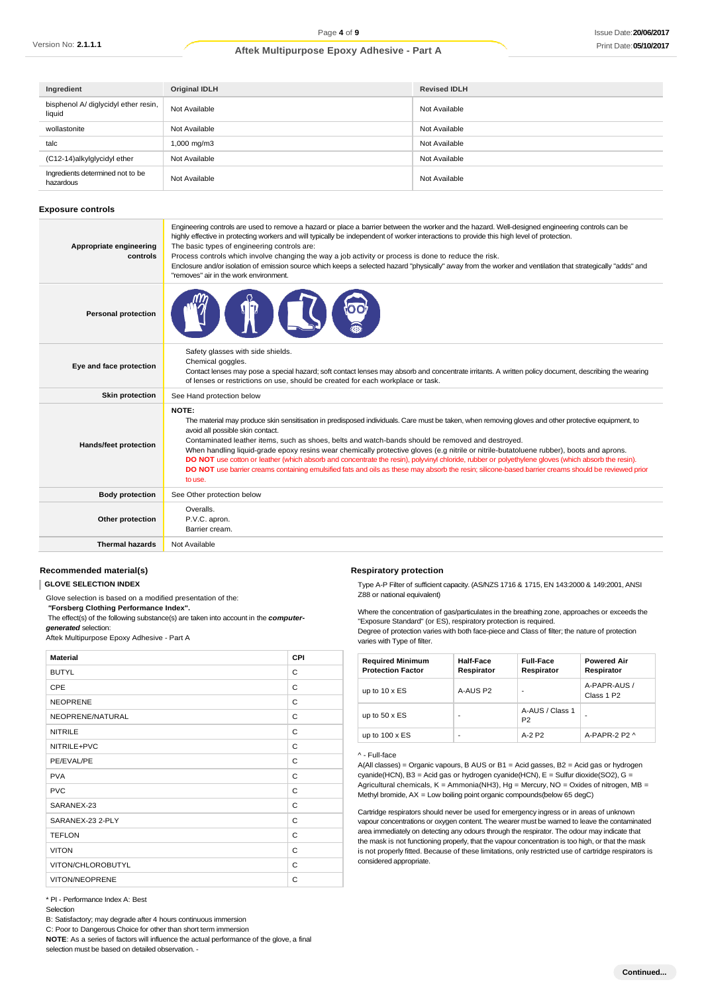| Ingredient                                     | <b>Original IDLH</b> | <b>Revised IDLH</b> |
|------------------------------------------------|----------------------|---------------------|
| bisphenol A/ diglycidyl ether resin,<br>liquid | Not Available        | Not Available       |
| wollastonite                                   | Not Available        | Not Available       |
| talc                                           | 1,000 mg/m3          | Not Available       |
| (C12-14)alkylglycidyl ether                    | Not Available        | Not Available       |
| Ingredients determined not to be<br>hazardous  | Not Available        | Not Available       |

#### **Exposure controls**

| Appropriate engineering<br>controls | Engineering controls are used to remove a hazard or place a barrier between the worker and the hazard. Well-designed engineering controls can be<br>highly effective in protecting workers and will typically be independent of worker interactions to provide this high level of protection.<br>The basic types of engineering controls are:<br>Process controls which involve changing the way a job activity or process is done to reduce the risk.<br>Enclosure and/or isolation of emission source which keeps a selected hazard "physically" away from the worker and ventilation that strategically "adds" and<br>"removes" air in the work environment.                                                                                                           |
|-------------------------------------|---------------------------------------------------------------------------------------------------------------------------------------------------------------------------------------------------------------------------------------------------------------------------------------------------------------------------------------------------------------------------------------------------------------------------------------------------------------------------------------------------------------------------------------------------------------------------------------------------------------------------------------------------------------------------------------------------------------------------------------------------------------------------|
| <b>Personal protection</b>          |                                                                                                                                                                                                                                                                                                                                                                                                                                                                                                                                                                                                                                                                                                                                                                           |
| Eye and face protection             | Safety glasses with side shields.<br>Chemical goggles.<br>Contact lenses may pose a special hazard; soft contact lenses may absorb and concentrate irritants. A written policy document, describing the wearing<br>of lenses or restrictions on use, should be created for each workplace or task.                                                                                                                                                                                                                                                                                                                                                                                                                                                                        |
| <b>Skin protection</b>              | See Hand protection below                                                                                                                                                                                                                                                                                                                                                                                                                                                                                                                                                                                                                                                                                                                                                 |
| Hands/feet protection               | NOTE:<br>The material may produce skin sensitisation in predisposed individuals. Care must be taken, when removing gloves and other protective equipment, to<br>avoid all possible skin contact.<br>Contaminated leather items, such as shoes, belts and watch-bands should be removed and destroyed.<br>When handling liquid-grade epoxy resins wear chemically protective gloves (e.g nitrile or nitrile-butatoluene rubber), boots and aprons.<br>DO NOT use cotton or leather (which absorb and concentrate the resin), polyvinyl chloride, rubber or polyethylene gloves (which absorb the resin).<br>DO NOT use barrier creams containing emulsified fats and oils as these may absorb the resin; silicone-based barrier creams should be reviewed prior<br>to use. |
| <b>Body protection</b>              | See Other protection below                                                                                                                                                                                                                                                                                                                                                                                                                                                                                                                                                                                                                                                                                                                                                |
| Other protection                    | Overalls.<br>P.V.C. apron.<br>Barrier cream.                                                                                                                                                                                                                                                                                                                                                                                                                                                                                                                                                                                                                                                                                                                              |
| <b>Thermal hazards</b>              | Not Available                                                                                                                                                                                                                                                                                                                                                                                                                                                                                                                                                                                                                                                                                                                                                             |

#### **Recommended material(s)**

**GLOVE SELECTION INDEX**

Glove selection is based on a modified presentation of the:

*"***Forsberg Clothing Performance Index".**

The effect(s) of the following substance(s) are taken into account in the *computergenerated* selection:

Aftek Multipurpose Epoxy Adhesive - Part A

| <b>Material</b>   | <b>CPI</b> |
|-------------------|------------|
| <b>BUTYL</b>      | C          |
| <b>CPE</b>        | C          |
| <b>NEOPRENE</b>   | C          |
| NEOPRENE/NATURAL  | C          |
| <b>NITRILE</b>    | C          |
| NITRILE+PVC       | C          |
| PE/EVAL/PE        | C          |
| <b>PVA</b>        | C          |
| <b>PVC</b>        | C          |
| SARANEX-23        | C          |
| SARANEX-23 2-PLY  | C          |
| <b>TEFLON</b>     | C          |
| <b>VITON</b>      | C          |
| VITON/CHLOROBUTYL | C          |
| VITON/NEOPRENE    | C          |

\* PI - Performance Index A: Best

Selection

B: Satisfactory; may degrade after 4 hours continuous immersion

C: Poor to Dangerous Choice for other than short term immersion

**NOTE**: As a series of factors will influence the actual performance of the glove, a final

selection must be based on detailed observation. -

### **Respiratory protection**

Type A-P Filter of sufficient capacity. (AS/NZS 1716 & 1715, EN 143:2000 & 149:2001, ANSI Z88 or national equivalent)

Where the concentration of gas/particulates in the breathing zone, approaches or exceeds the "Exposure Standard" (or ES), respiratory protection is required.

Degree of protection varies with both face-piece and Class of filter; the nature of protection varies with Type of filter.

| <b>Required Minimum</b><br><b>Protection Factor</b> | Half-Face<br>Respirator | <b>Full-Face</b><br>Respirator    | <b>Powered Air</b><br>Respirator       |
|-----------------------------------------------------|-------------------------|-----------------------------------|----------------------------------------|
| up to $10 \times ES$                                | A-AUS P <sub>2</sub>    |                                   | A-PAPR-AUS /<br>Class 1 P <sub>2</sub> |
| up to $50 \times ES$                                | ۰                       | A-AUS / Class 1<br>P <sub>2</sub> | ۰                                      |
| up to $100 \times ES$                               | -                       | $A-2P2$                           | A-PAPR-2 P2 $\land$                    |

^ - Full-face

A(All classes) = Organic vapours, B AUS or B1 = Acid gasses, B2 = Acid gas or hydrogen cyanide(HCN), B3 = Acid gas or hydrogen cyanide(HCN), E = Sulfur dioxide(SO2), G = Agricultural chemicals,  $K =$  Ammonia(NH3), Hg = Mercury, NO = Oxides of nitrogen, MB = Methyl bromide, AX = Low boiling point organic compounds(below 65 degC)

Cartridge respirators should never be used for emergency ingress or in areas of unknown vapour concentrations or oxygen content. The wearer must be warned to leave the contaminated area immediately on detecting any odours through the respirator. The odour may indicate that the mask is not functioning properly, that the vapour concentration is too high, or that the mask is not properly fitted. Because of these limitations, only restricted use of cartridge respirators is considered appropriate.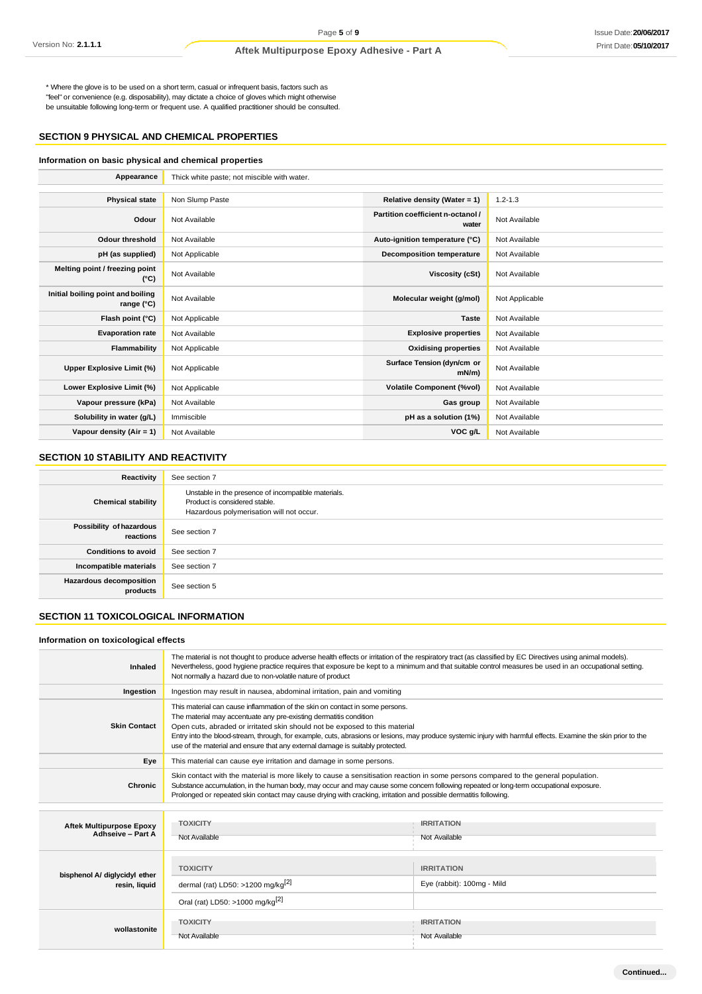\* Where the glove is to be used on a short term, casual or infrequent basis, factors such as "feel" or convenience (e.g. disposability), may dictate a choice of gloves which might otherwise be unsuitable following long-term or frequent use. A qualified practitioner should be consulted.

### **SECTION 9 PHYSICAL AND CHEMICAL PROPERTIES**

#### **Information on basic physical and chemical properties**

| Appearance                                      | Thick white paste; not miscible with water. |                                            |                |
|-------------------------------------------------|---------------------------------------------|--------------------------------------------|----------------|
|                                                 |                                             |                                            |                |
| <b>Physical state</b>                           | Non Slump Paste                             | Relative density (Water = 1)               | $1.2 - 1.3$    |
| Odour                                           | Not Available                               | Partition coefficient n-octanol /<br>water | Not Available  |
| <b>Odour threshold</b>                          | Not Available                               | Auto-ignition temperature (°C)             | Not Available  |
| pH (as supplied)                                | Not Applicable                              | <b>Decomposition temperature</b>           | Not Available  |
| Melting point / freezing point<br>(°C)          | Not Available                               | <b>Viscosity (cSt)</b>                     | Not Available  |
| Initial boiling point and boiling<br>range (°C) | Not Available                               | Molecular weight (g/mol)                   | Not Applicable |
| Flash point (°C)                                | Not Applicable                              | <b>Taste</b>                               | Not Available  |
| <b>Evaporation rate</b>                         | Not Available                               | <b>Explosive properties</b>                | Not Available  |
| Flammability                                    | Not Applicable                              | <b>Oxidising properties</b>                | Not Available  |
| Upper Explosive Limit (%)                       | Not Applicable                              | Surface Tension (dyn/cm or<br>$mN/m$ )     | Not Available  |
| Lower Explosive Limit (%)                       | Not Applicable                              | <b>Volatile Component (%vol)</b>           | Not Available  |
| Vapour pressure (kPa)                           | Not Available                               | Gas group                                  | Not Available  |
| Solubility in water (g/L)                       | Immiscible                                  | pH as a solution (1%)                      | Not Available  |
| Vapour density (Air = 1)                        | Not Available                               | VOC g/L                                    | Not Available  |

### **SECTION 10 STABILITY AND REACTIVITY**

| Reactivity                                 | See section 7                                                                                                                    |
|--------------------------------------------|----------------------------------------------------------------------------------------------------------------------------------|
| <b>Chemical stability</b>                  | Unstable in the presence of incompatible materials.<br>Product is considered stable.<br>Hazardous polymerisation will not occur. |
| Possibility of hazardous<br>reactions      | See section 7                                                                                                                    |
| <b>Conditions to avoid</b>                 | See section 7                                                                                                                    |
| Incompatible materials                     | See section 7                                                                                                                    |
| <b>Hazardous decomposition</b><br>products | See section 5                                                                                                                    |

### **SECTION 11 TOXICOLOGICAL INFORMATION**

### **Information on toxicological effects**

| <b>Inhaled</b>                                       | The material is not thought to produce adverse health effects or irritation of the respiratory tract (as classified by EC Directives using animal models).<br>Nevertheless, good hygiene practice requires that exposure be kept to a minimum and that suitable control measures be used in an occupational setting.<br>Not normally a hazard due to non-volatile nature of product                                                                                                  |                                                 |  |
|------------------------------------------------------|--------------------------------------------------------------------------------------------------------------------------------------------------------------------------------------------------------------------------------------------------------------------------------------------------------------------------------------------------------------------------------------------------------------------------------------------------------------------------------------|-------------------------------------------------|--|
| Ingestion                                            | Ingestion may result in nausea, abdominal irritation, pain and vomiting                                                                                                                                                                                                                                                                                                                                                                                                              |                                                 |  |
| <b>Skin Contact</b>                                  | This material can cause inflammation of the skin on contact in some persons.<br>The material may accentuate any pre-existing dermatitis condition<br>Open cuts, abraded or irritated skin should not be exposed to this material<br>Entry into the blood-stream, through, for example, cuts, abrasions or lesions, may produce systemic injury with harmful effects. Examine the skin prior to the<br>use of the material and ensure that any external damage is suitably protected. |                                                 |  |
| Eye                                                  | This material can cause eye irritation and damage in some persons.                                                                                                                                                                                                                                                                                                                                                                                                                   |                                                 |  |
| Chronic                                              | Skin contact with the material is more likely to cause a sensitisation reaction in some persons compared to the general population.<br>Substance accumulation, in the human body, may occur and may cause some concern following repeated or long-term occupational exposure.<br>Prolonged or repeated skin contact may cause drying with cracking, irritation and possible dermatitis following.                                                                                    |                                                 |  |
|                                                      |                                                                                                                                                                                                                                                                                                                                                                                                                                                                                      |                                                 |  |
| <b>Aftek Multipurpose Epoxy</b><br>Adhseive - Part A | <b>TOXICITY</b><br>Not Available                                                                                                                                                                                                                                                                                                                                                                                                                                                     | <b>IRRITATION</b><br>Not Available              |  |
| bisphenol A/ diglycidyl ether<br>resin, liquid       | <b>TOXICITY</b><br>dermal (rat) LD50: >1200 mg/kg $^{2}$<br>Oral (rat) LD50: >1000 mg/kg <sup>[2]</sup>                                                                                                                                                                                                                                                                                                                                                                              | <b>IRRITATION</b><br>Eye (rabbit): 100mg - Mild |  |
| wollastonite                                         | <b>TOXICITY</b><br>Not Available                                                                                                                                                                                                                                                                                                                                                                                                                                                     | <b>IRRITATION</b><br>Not Available              |  |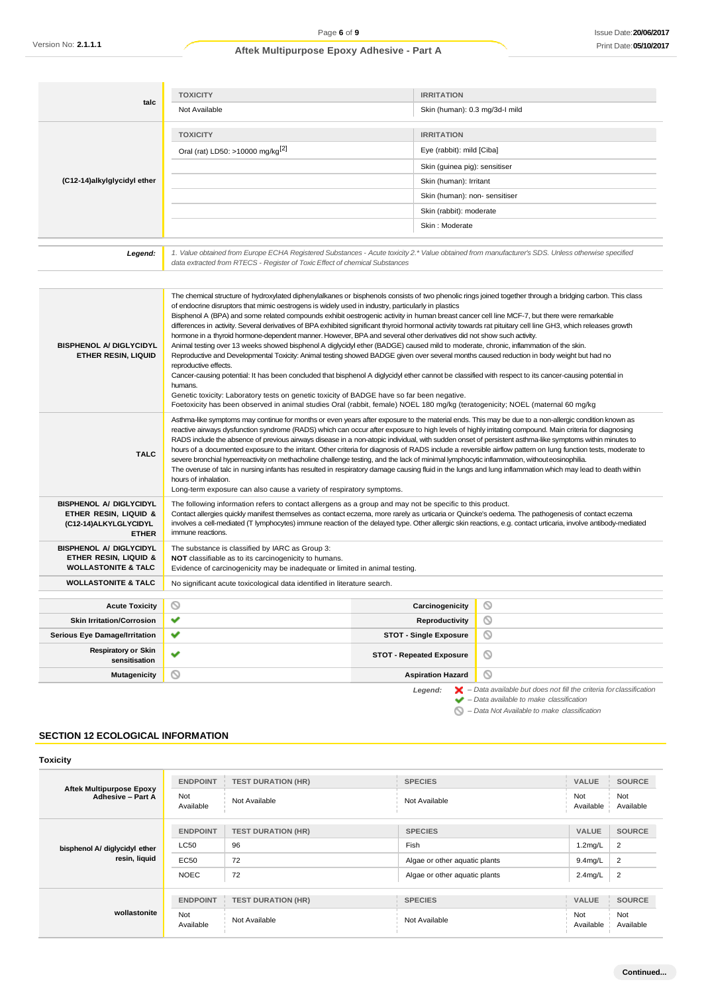| talc                                                                                              | <b>TOXICITY</b><br>Not Available                                                                                                                                                                                                                                                                                                                                                                                                                                                                                                                                                                                                                                                                                                                                                                                                                                                                                                                                                                                                                                                                                                                                                                                                                               | <b>IRRITATION</b><br>Skin (human): 0.3 mg/3d-l mild |                                                                                                                                                                                                                                                                                                                                                                                                                                                                               |  |
|---------------------------------------------------------------------------------------------------|----------------------------------------------------------------------------------------------------------------------------------------------------------------------------------------------------------------------------------------------------------------------------------------------------------------------------------------------------------------------------------------------------------------------------------------------------------------------------------------------------------------------------------------------------------------------------------------------------------------------------------------------------------------------------------------------------------------------------------------------------------------------------------------------------------------------------------------------------------------------------------------------------------------------------------------------------------------------------------------------------------------------------------------------------------------------------------------------------------------------------------------------------------------------------------------------------------------------------------------------------------------|-----------------------------------------------------|-------------------------------------------------------------------------------------------------------------------------------------------------------------------------------------------------------------------------------------------------------------------------------------------------------------------------------------------------------------------------------------------------------------------------------------------------------------------------------|--|
|                                                                                                   |                                                                                                                                                                                                                                                                                                                                                                                                                                                                                                                                                                                                                                                                                                                                                                                                                                                                                                                                                                                                                                                                                                                                                                                                                                                                |                                                     |                                                                                                                                                                                                                                                                                                                                                                                                                                                                               |  |
|                                                                                                   | <b>TOXICITY</b>                                                                                                                                                                                                                                                                                                                                                                                                                                                                                                                                                                                                                                                                                                                                                                                                                                                                                                                                                                                                                                                                                                                                                                                                                                                | <b>IRRITATION</b>                                   |                                                                                                                                                                                                                                                                                                                                                                                                                                                                               |  |
|                                                                                                   | Oral (rat) LD50: >10000 mg/kg <sup>[2]</sup>                                                                                                                                                                                                                                                                                                                                                                                                                                                                                                                                                                                                                                                                                                                                                                                                                                                                                                                                                                                                                                                                                                                                                                                                                   | Eye (rabbit): mild [Ciba]                           |                                                                                                                                                                                                                                                                                                                                                                                                                                                                               |  |
|                                                                                                   |                                                                                                                                                                                                                                                                                                                                                                                                                                                                                                                                                                                                                                                                                                                                                                                                                                                                                                                                                                                                                                                                                                                                                                                                                                                                | Skin (guinea pig): sensitiser                       |                                                                                                                                                                                                                                                                                                                                                                                                                                                                               |  |
| (C12-14)alkylglycidyl ether                                                                       |                                                                                                                                                                                                                                                                                                                                                                                                                                                                                                                                                                                                                                                                                                                                                                                                                                                                                                                                                                                                                                                                                                                                                                                                                                                                | Skin (human): Irritant                              |                                                                                                                                                                                                                                                                                                                                                                                                                                                                               |  |
|                                                                                                   |                                                                                                                                                                                                                                                                                                                                                                                                                                                                                                                                                                                                                                                                                                                                                                                                                                                                                                                                                                                                                                                                                                                                                                                                                                                                | Skin (human): non- sensitiser                       |                                                                                                                                                                                                                                                                                                                                                                                                                                                                               |  |
|                                                                                                   |                                                                                                                                                                                                                                                                                                                                                                                                                                                                                                                                                                                                                                                                                                                                                                                                                                                                                                                                                                                                                                                                                                                                                                                                                                                                | Skin (rabbit): moderate                             |                                                                                                                                                                                                                                                                                                                                                                                                                                                                               |  |
|                                                                                                   |                                                                                                                                                                                                                                                                                                                                                                                                                                                                                                                                                                                                                                                                                                                                                                                                                                                                                                                                                                                                                                                                                                                                                                                                                                                                | Skin: Moderate                                      |                                                                                                                                                                                                                                                                                                                                                                                                                                                                               |  |
| Legend:                                                                                           | 1. Value obtained from Europe ECHA Registered Substances - Acute toxicity 2.* Value obtained from manufacturer's SDS. Unless otherwise specified<br>data extracted from RTECS - Register of Toxic Effect of chemical Substances                                                                                                                                                                                                                                                                                                                                                                                                                                                                                                                                                                                                                                                                                                                                                                                                                                                                                                                                                                                                                                |                                                     |                                                                                                                                                                                                                                                                                                                                                                                                                                                                               |  |
| <b>BISPHENOL A/ DIGLYCIDYL</b><br><b>ETHER RESIN, LIQUID</b>                                      | of endocrine disruptors that mimic oestrogens is widely used in industry, particularly in plastics<br>Bisphenol A (BPA) and some related compounds exhibit oestrogenic activity in human breast cancer cell line MCF-7, but there were remarkable<br>differences in activity. Several derivatives of BPA exhibited significant thyroid hormonal activity towards rat pituitary cell line GH3, which releases growth<br>hormone in a thyroid hormone-dependent manner. However, BPA and several other derivatives did not show such activity.<br>Animal testing over 13 weeks showed bisphenol A diglycidyl ether (BADGE) caused mild to moderate, chronic, inflammation of the skin.<br>Reproductive and Developmental Toxicity: Animal testing showed BADGE given over several months caused reduction in body weight but had no<br>reproductive effects.<br>Cancer-causing potential: It has been concluded that bisphenol A diglycidyl ether cannot be classified with respect to its cancer-causing potential in<br>humans.<br>Genetic toxicity: Laboratory tests on genetic toxicity of BADGE have so far been negative.<br>Foetoxicity has been observed in animal studies Oral (rabbit, female) NOEL 180 mg/kg (teratogenicity; NOEL (maternal 60 mg/kg |                                                     | The chemical structure of hydroxylated diphenylalkanes or bisphenols consists of two phenolic rings joined together through a bridging carbon. This class                                                                                                                                                                                                                                                                                                                     |  |
| <b>TALC</b>                                                                                       | Asthma-like symptoms may continue for months or even years after exposure to the material ends. This may be due to a non-allergic condition known as<br>reactive airways dysfunction syndrome (RADS) which can occur after exposure to high levels of highly irritating compound. Main criteria for diagnosing<br>RADS include the absence of previous airways disease in a non-atopic individual, with sudden onset of persistent asthma-like symptoms within minutes to<br>hours of a documented exposure to the irritant. Other criteria for diagnosis of RADS include a reversible airflow pattern on lung function tests, moderate to<br>severe bronchial hyperreactivity on methacholine challenge testing, and the lack of minimal lymphocytic inflammation, without eosinophilia.<br>The overuse of talc in nursing infants has resulted in respiratory damage causing fluid in the lungs and lung inflammation which may lead to death within<br>hours of inhalation.<br>Long-term exposure can also cause a variety of respiratory symptoms.                                                                                                                                                                                                         |                                                     |                                                                                                                                                                                                                                                                                                                                                                                                                                                                               |  |
| <b>BISPHENOL A/ DIGLYCIDYL</b><br>ETHER RESIN, LIQUID &<br>(C12-14) ALKYLGLYCIDYL<br><b>ETHER</b> | The following information refers to contact allergens as a group and may not be specific to this product.<br>Contact allergies quickly manifest themselves as contact eczema, more rarely as urticaria or Quincke's oedema. The pathogenesis of contact eczema<br>immune reactions.                                                                                                                                                                                                                                                                                                                                                                                                                                                                                                                                                                                                                                                                                                                                                                                                                                                                                                                                                                            |                                                     | involves a cell-mediated (T lymphocytes) immune reaction of the delayed type. Other allergic skin reactions, e.g. contact urticaria, involve antibody-mediated                                                                                                                                                                                                                                                                                                                |  |
| <b>BISPHENOL A/ DIGLYCIDYL</b><br>ETHER RESIN, LIQUID &<br><b>WOLLASTONITE &amp; TALC</b>         | The substance is classified by IARC as Group 3:<br><b>NOT</b> classifiable as to its carcinogenicity to humans.<br>Evidence of carcinogenicity may be inadequate or limited in animal testing.                                                                                                                                                                                                                                                                                                                                                                                                                                                                                                                                                                                                                                                                                                                                                                                                                                                                                                                                                                                                                                                                 |                                                     |                                                                                                                                                                                                                                                                                                                                                                                                                                                                               |  |
| <b>WOLLASTONITE &amp; TALC</b>                                                                    | No significant acute toxicological data identified in literature search.                                                                                                                                                                                                                                                                                                                                                                                                                                                                                                                                                                                                                                                                                                                                                                                                                                                                                                                                                                                                                                                                                                                                                                                       |                                                     |                                                                                                                                                                                                                                                                                                                                                                                                                                                                               |  |
| <b>Acute Toxicity</b>                                                                             | ◎                                                                                                                                                                                                                                                                                                                                                                                                                                                                                                                                                                                                                                                                                                                                                                                                                                                                                                                                                                                                                                                                                                                                                                                                                                                              | Carcinogenicity                                     | ◎                                                                                                                                                                                                                                                                                                                                                                                                                                                                             |  |
| <b>Skin Irritation/Corrosion</b>                                                                  | ✔                                                                                                                                                                                                                                                                                                                                                                                                                                                                                                                                                                                                                                                                                                                                                                                                                                                                                                                                                                                                                                                                                                                                                                                                                                                              | Reproductivity                                      | ◎                                                                                                                                                                                                                                                                                                                                                                                                                                                                             |  |
| <b>Serious Eye Damage/Irritation</b>                                                              | ✔                                                                                                                                                                                                                                                                                                                                                                                                                                                                                                                                                                                                                                                                                                                                                                                                                                                                                                                                                                                                                                                                                                                                                                                                                                                              | <b>STOT - Single Exposure</b>                       | ⊚                                                                                                                                                                                                                                                                                                                                                                                                                                                                             |  |
| <b>Respiratory or Skin</b><br>sensitisation                                                       | ✔                                                                                                                                                                                                                                                                                                                                                                                                                                                                                                                                                                                                                                                                                                                                                                                                                                                                                                                                                                                                                                                                                                                                                                                                                                                              | <b>STOT - Repeated Exposure</b>                     | O                                                                                                                                                                                                                                                                                                                                                                                                                                                                             |  |
| <b>Mutagenicity</b>                                                                               | ⊚                                                                                                                                                                                                                                                                                                                                                                                                                                                                                                                                                                                                                                                                                                                                                                                                                                                                                                                                                                                                                                                                                                                                                                                                                                                              | <b>Aspiration Hazard</b>                            | ◎                                                                                                                                                                                                                                                                                                                                                                                                                                                                             |  |
|                                                                                                   |                                                                                                                                                                                                                                                                                                                                                                                                                                                                                                                                                                                                                                                                                                                                                                                                                                                                                                                                                                                                                                                                                                                                                                                                                                                                |                                                     | $I$ around: $\blacksquare$ $\blacksquare$ $\blacksquare$ $\blacksquare$ $\blacksquare$ $\blacksquare$ $\blacksquare$ $\blacksquare$ $\blacksquare$ $\blacksquare$ $\blacksquare$ $\blacksquare$ $\blacksquare$ $\blacksquare$ $\blacksquare$ $\blacksquare$ $\blacksquare$ $\blacksquare$ $\blacksquare$ $\blacksquare$ $\blacksquare$ $\blacksquare$ $\blacksquare$ $\blacksquare$ $\blacksquare$ $\blacksquare$ $\blacksquare$ $\blacksquare$ $\blacksquare$ $\blacksquare$ |  |

*Legend: – Data available but does not fill the criteria for classification – Data available to make classification*

*– Data Not Available to make classification*

### **SECTION 12 ECOLOGICAL INFORMATION**

**Toxicity**

| <b>Aftek Multipurpose Epoxy</b><br>Adhesive - Part A | <b>ENDPOINT</b>  | <b>TEST DURATION (HR)</b> | <b>SPECIES</b>                | <b>VALUE</b>     | <b>SOURCE</b>    |
|------------------------------------------------------|------------------|---------------------------|-------------------------------|------------------|------------------|
|                                                      | Not<br>Available | Not Available             | Not Available                 | Not<br>Available | Not<br>Available |
| bisphenol A/ diglycidyl ether<br>resin, liquid       | <b>ENDPOINT</b>  | <b>TEST DURATION (HR)</b> | <b>SPECIES</b>                | <b>VALUE</b>     | <b>SOURCE</b>    |
|                                                      | <b>LC50</b>      | 96                        | Fish                          | $1.2$ mg/L       | $\overline{2}$   |
|                                                      | <b>EC50</b>      | 72                        | Algae or other aquatic plants | $9.4$ mg/L       | $\overline{2}$   |
|                                                      | <b>NOEC</b>      | 72                        | Algae or other aquatic plants | $2.4$ mg/L       | $\overline{c}$   |
|                                                      |                  |                           |                               |                  |                  |
| wollastonite                                         | <b>ENDPOINT</b>  | <b>TEST DURATION (HR)</b> | <b>SPECIES</b>                | <b>VALUE</b>     | <b>SOURCE</b>    |
|                                                      | Not<br>Available | Not Available             | Not Available                 | Not<br>Available | Not<br>Available |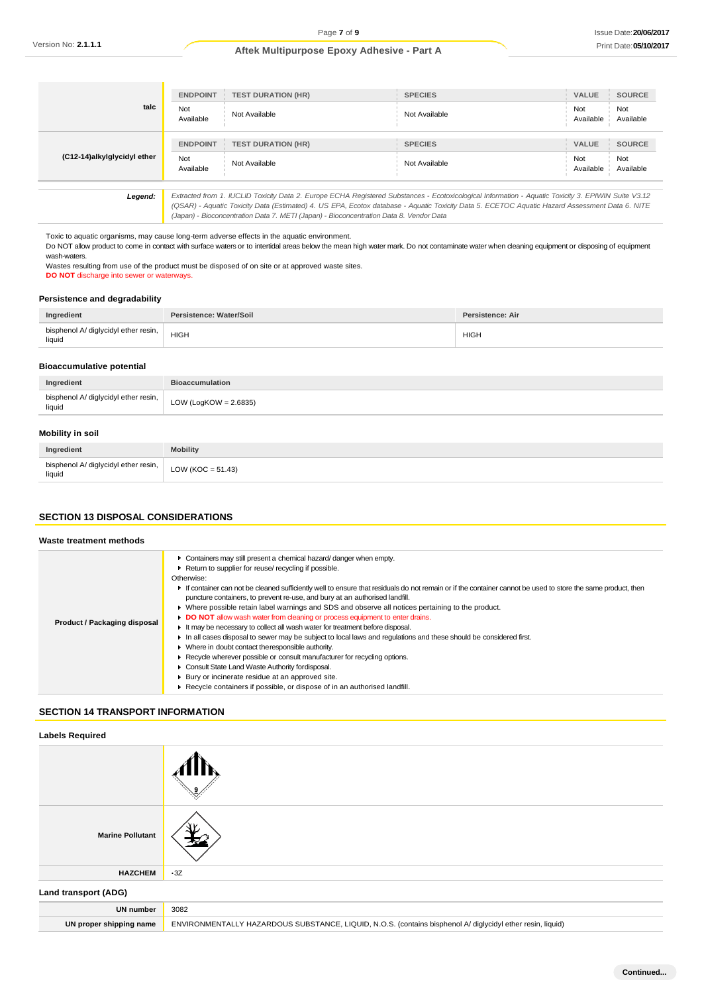| talc                                                                                                                                                                                                                                                                                                                                                                                                       | <b>ENDPOINT</b>  | <b>TEST DURATION (HR)</b> | <b>SPECIES</b> | VALUE            | SOURCE           |
|------------------------------------------------------------------------------------------------------------------------------------------------------------------------------------------------------------------------------------------------------------------------------------------------------------------------------------------------------------------------------------------------------------|------------------|---------------------------|----------------|------------------|------------------|
|                                                                                                                                                                                                                                                                                                                                                                                                            | Not<br>Available | Not Available             | Not Available  | Not<br>Available | Not<br>Available |
| (C12-14)alkylglycidyl ether                                                                                                                                                                                                                                                                                                                                                                                | <b>ENDPOINT</b>  | <b>TEST DURATION (HR)</b> | <b>SPECIES</b> | VALUE            | <b>SOURCE</b>    |
|                                                                                                                                                                                                                                                                                                                                                                                                            | Not<br>Available | Not Available             | Not Available  | Not<br>Available | Not<br>Available |
| Extracted from 1. IUCLID Toxicity Data 2. Europe ECHA Registered Substances - Ecotoxicological Information - Aquatic Toxicity 3. EPIWIN Suite V3.12<br>Legend:<br>(QSAR) - Aquatic Toxicity Data (Estimated) 4. US EPA, Ecotox database - Aquatic Toxicity Data 5. ECETOC Aquatic Hazard Assessment Data 6. NITE<br>(Japan) - Bioconcentration Data 7. METI (Japan) - Bioconcentration Data 8. Vendor Data |                  |                           |                |                  |                  |

Toxic to aquatic organisms, may cause long-term adverse effects in the aquatic environment. Do NOT allow product to come in contact with surface waters or to intertidal areas below the mean high water mark. Do not contaminate water when cleaning equipment or disposing of equipment wash-waters. Wastes resulting from use of the product must be disposed of on site or at approved waste sites.

**DO NOT** discharge into sewer or waterways.

#### **Persistence and degradability**

| Ingredient                                     | Persistence: Water/Soil | Persistence: Air |
|------------------------------------------------|-------------------------|------------------|
| bisphenol A/ diglycidyl ether resin,<br>liquid | <b>HIGH</b>             | <b>HIGH</b>      |

#### **Bioaccumulative potential**

| Ingredient                                     | <b>Bioaccumulation</b>   |
|------------------------------------------------|--------------------------|
| bisphenol A/ diglycidyl ether resin,<br>liquid | LOW (LogKOW = $2.6835$ ) |
|                                                |                          |

### **Mobility in soil**

| Ingredient                                       | <b>Mobility</b>      |
|--------------------------------------------------|----------------------|
| bisphenol A/ diglycidyl ether resin,  <br>liquid | LOW (KOC = $51.43$ ) |

#### **SECTION 13 DISPOSAL CONSIDERATIONS**

#### **Waste treatment methods**

| Product / Packaging disposal | Containers may still present a chemical hazard/danger when empty.<br>Return to supplier for reuse/ recycling if possible.<br>Otherwise:<br>If container can not be cleaned sufficiently well to ensure that residuals do not remain or if the container cannot be used to store the same product, then<br>puncture containers, to prevent re-use, and bury at an authorised landfill.<br>► Where possible retain label warnings and SDS and observe all notices pertaining to the product.<br>DO NOT allow wash water from cleaning or process equipment to enter drains.<br>It may be necessary to collect all wash water for treatment before disposal.<br>In all cases disposal to sewer may be subject to local laws and regulations and these should be considered first.<br>• Where in doubt contact the responsible authority.<br>▶ Recycle wherever possible or consult manufacturer for recycling options. |
|------------------------------|---------------------------------------------------------------------------------------------------------------------------------------------------------------------------------------------------------------------------------------------------------------------------------------------------------------------------------------------------------------------------------------------------------------------------------------------------------------------------------------------------------------------------------------------------------------------------------------------------------------------------------------------------------------------------------------------------------------------------------------------------------------------------------------------------------------------------------------------------------------------------------------------------------------------|
|                              | Consult State Land Waste Authority for disposal.<br>Bury or incinerate residue at an approved site.<br>▶ Recycle containers if possible, or dispose of in an authorised landfill.                                                                                                                                                                                                                                                                                                                                                                                                                                                                                                                                                                                                                                                                                                                                   |

#### **SECTION 14 TRANSPORT INFORMATION**

### **Labels Required**

| <b>Marine Pollutant</b> |                                                                                                            |
|-------------------------|------------------------------------------------------------------------------------------------------------|
| <b>HAZCHEM</b>          | $\cdot$ 3Z                                                                                                 |
| Land transport (ADG)    |                                                                                                            |
| <b>UN number</b>        | 3082                                                                                                       |
| UN proper shipping name | ENVIRONMENTALLY HAZARDOUS SUBSTANCE, LIQUID, N.O.S. (contains bisphenol A/ diglycidyl ether resin, liquid) |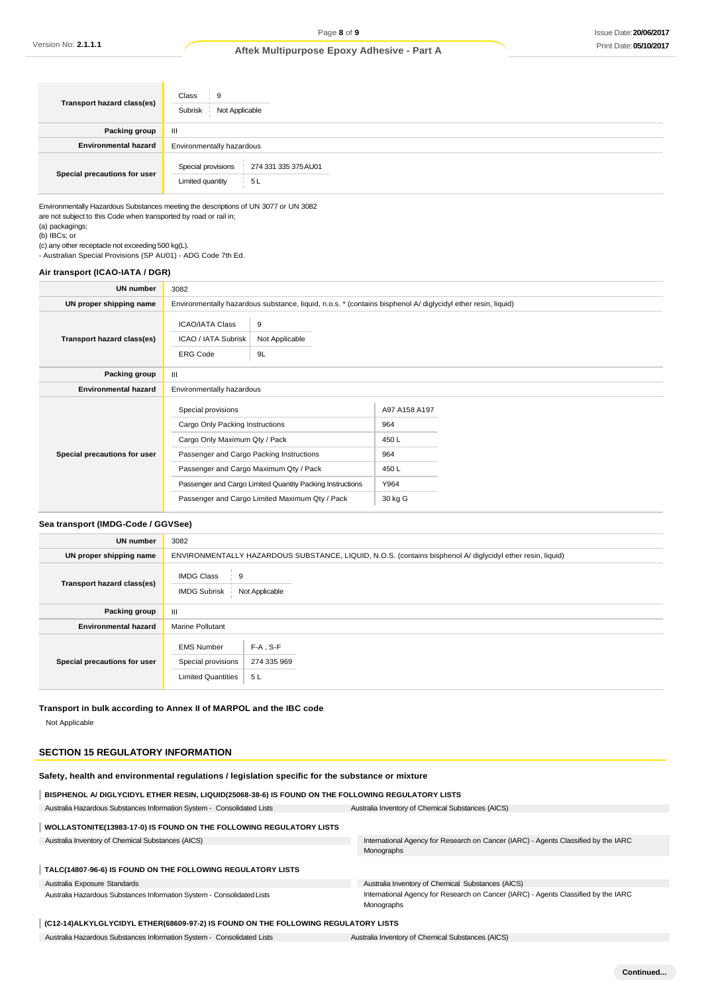| Transport hazard class(es)   | Class<br>9<br>Subrisk<br>Not Applicable                               |
|------------------------------|-----------------------------------------------------------------------|
| Packing group                | Ш                                                                     |
| <b>Environmental hazard</b>  | Environmentally hazardous                                             |
| Special precautions for user | Special provisions<br>274 331 335 375 AU01<br>5 L<br>Limited quantity |

Environmentally Hazardous Substances meeting the descriptions of UN 3077 or UN 3082 are not subject to this Code when transported by road or rail in;

(a) packagings; (b) IBCs; or

(c) any other receptacle not exceeding 500 kg(L). - Australian Special Provisions (SP AU01) - ADG Code 7th Ed.

#### **Air transport (ICAO-IATA / DGR)**

| UN number                    | 3082                                                                                                                                                                         |                                                                                                              |                                                                |  |
|------------------------------|------------------------------------------------------------------------------------------------------------------------------------------------------------------------------|--------------------------------------------------------------------------------------------------------------|----------------------------------------------------------------|--|
| UN proper shipping name      |                                                                                                                                                                              | Environmentally hazardous substance, liquid, n.o.s. * (contains bisphenol A/ diglycidyl ether resin, liquid) |                                                                |  |
| Transport hazard class(es)   | <b>ICAO/IATA Class</b><br><b>ICAO / IATA Subrisk</b><br><b>ERG Code</b>                                                                                                      | 9<br>Not Applicable<br>9L                                                                                    |                                                                |  |
| Packing group                | $\mathbf{III}$                                                                                                                                                               |                                                                                                              |                                                                |  |
| <b>Environmental hazard</b>  | Environmentally hazardous                                                                                                                                                    |                                                                                                              |                                                                |  |
| Special precautions for user | Special provisions<br>Cargo Only Packing Instructions<br>Cargo Only Maximum Qty / Pack<br>Passenger and Cargo Packing Instructions<br>Passenger and Cargo Maximum Qty / Pack | Passenger and Cargo Limited Quantity Packing Instructions<br>Passenger and Cargo Limited Maximum Qty / Pack  | A97 A158 A197<br>964<br>450L<br>964<br>450L<br>Y964<br>30 kg G |  |

#### **Sea transport (IMDG-Code / GGVSee)**

| <b>UN number</b>             | 3082                                                                 |                                                                                                            |  |  |
|------------------------------|----------------------------------------------------------------------|------------------------------------------------------------------------------------------------------------|--|--|
| UN proper shipping name      |                                                                      | ENVIRONMENTALLY HAZARDOUS SUBSTANCE, LIQUID, N.O.S. (contains bisphenol A/ diglycidyl ether resin, liquid) |  |  |
| Transport hazard class(es)   | <b>IMDG Class</b><br>9<br><b>IMDG Subrisk</b>                        | Not Applicable                                                                                             |  |  |
| Packing group                | $\mathbf{III}$                                                       |                                                                                                            |  |  |
| <b>Environmental hazard</b>  | <b>Marine Pollutant</b>                                              |                                                                                                            |  |  |
| Special precautions for user | <b>EMS Number</b><br>Special provisions<br><b>Limited Quantities</b> | $F-A$ , S-F<br>274 335 969<br>5L                                                                           |  |  |

**Transport in bulk according to Annex II of MARPOL and the IBC code** Not Applicable

#### **SECTION 15 REGULATORY INFORMATION**

| Safety, health and environmental regulations / legislation specific for the substance or mixture |  |
|--------------------------------------------------------------------------------------------------|--|
|                                                                                                  |  |

| BISPHENOL A/ DIGLYCIDYL ETHER RESIN, LIQUID(25068-38-6) IS FOUND ON THE FOLLOWING REGULATORY LISTS |                                                                                                  |  |
|----------------------------------------------------------------------------------------------------|--------------------------------------------------------------------------------------------------|--|
| Australia Hazardous Substances Information System - Consolidated Lists                             | Australia Inventory of Chemical Substances (AICS)                                                |  |
| WOLLASTONITE(13983-17-0) IS FOUND ON THE FOLLOWING REGULATORY LISTS                                |                                                                                                  |  |
| Australia Inventory of Chemical Substances (AICS)                                                  | International Agency for Research on Cancer (IARC) - Agents Classified by the IARC<br>Monographs |  |
| TALC(14807-96-6) IS FOUND ON THE FOLLOWING REGULATORY LISTS                                        |                                                                                                  |  |
| Australia Exposure Standards                                                                       | Australia Inventory of Chemical Substances (AICS)                                                |  |
| Australia Hazardous Substances Information System - Consolidated Lists                             | International Agency for Research on Cancer (IARC) - Agents Classified by the IARC<br>Monographs |  |

#### **(C12-14)ALKYLGLYCIDYL ETHER(68609-97-2) IS FOUND ON THE FOLLOWING REGULATORY LISTS**

Australia Hazardous Substances Information System - Consolidated Lists Australia Inventory of Chemical Substances (AICS)